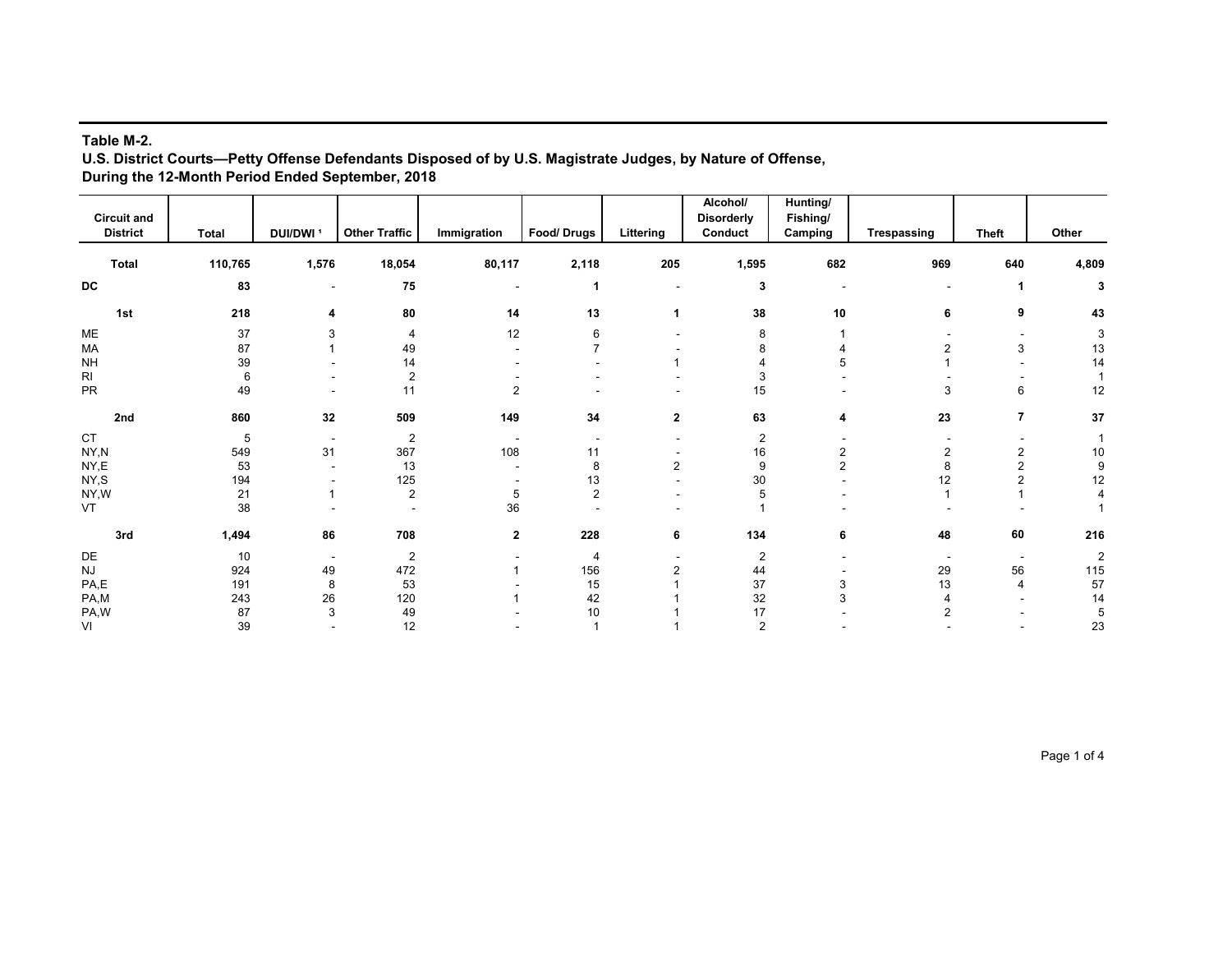## **Table M-2.**

**U.S. District Courts—Petty Offense Defendants Disposed of by U.S. Magistrate Judges, by Nature of Offense, During the 12-Month Period Ended September, 2018**

|                                       |              |                          |                      |                |                |                | Alcohol/                     | Hunting/            |                |                |                |
|---------------------------------------|--------------|--------------------------|----------------------|----------------|----------------|----------------|------------------------------|---------------------|----------------|----------------|----------------|
| <b>Circuit and</b><br><b>District</b> | <b>Total</b> | DUI/DWI <sup>1</sup>     | <b>Other Traffic</b> | Immigration    | Food/Drugs     | Littering      | <b>Disorderly</b><br>Conduct | Fishing/<br>Camping | Trespassing    | <b>Theft</b>   | Other          |
|                                       |              |                          |                      |                |                |                |                              |                     |                |                |                |
| Total                                 | 110,765      | 1,576                    | 18,054               | 80,117         | 2,118          | 205            | 1,595                        | 682                 | 969            | 640            | 4,809          |
| DC                                    | 83           | $\overline{\phantom{a}}$ | 75                   |                | 1              |                | 3                            |                     | $\sim$         | -1             | 3              |
| 1st                                   | 218          | 4                        | 80                   | 14             | 13             | 1              | 38                           | 10                  | 6              | 9              | 43             |
| ME                                    | 37           | 3                        | 4                    | 12             | 6              |                | 8                            |                     |                |                | 3              |
| MA                                    | 87           |                          | 49                   |                | 7              |                | 8                            |                     | $\overline{2}$ | 3              | 13             |
| <b>NH</b>                             | 39           |                          | 14                   |                |                |                |                              | 5                   |                |                | 14             |
| R <sub>l</sub>                        | 6            |                          | $\overline{2}$       |                |                |                |                              |                     |                |                |                |
| PR                                    | 49           |                          | 11                   | $\overline{2}$ |                |                | 15                           |                     | 3              | 6              | 12             |
| 2nd                                   | 860          | 32                       | 509                  | 149            | 34             | $\mathbf{2}$   | 63                           | 4                   | 23             | $\overline{7}$ | 37             |
| CT                                    | 5            | $\overline{\phantom{a}}$ | $\overline{c}$       |                |                |                | $\overline{2}$               |                     |                |                |                |
| NY,N                                  | 549          | 31                       | 367                  | 108            | 11             |                | 16                           | 2                   | 2              | $\overline{2}$ | 10             |
| $\mathsf{NY}, \mathsf{E}$             | 53           |                          | 13                   |                | 8              | $\overline{c}$ | 9                            | $\overline{2}$      | 8              | $\overline{c}$ | g              |
| NY,S                                  | 194          |                          | 125                  |                | 13             |                | 30                           |                     | 12             | 2              | 12             |
| NY,W                                  | 21           | 1                        | $\overline{c}$       | 5              | $\overline{2}$ |                | 5                            |                     |                |                |                |
| VT                                    | 38           |                          |                      | 36             |                |                |                              |                     |                |                |                |
| 3rd                                   | 1,494        | 86                       | 708                  | $\mathbf{2}$   | 228            | 6              | 134                          | 6                   | 48             | 60             | 216            |
| DE                                    | 10           | $\overline{\phantom{a}}$ | 2                    |                | $\overline{4}$ |                | $\overline{2}$               |                     |                |                | $\overline{2}$ |
| <b>NJ</b>                             | 924          | 49                       | 472                  |                | 156            |                | 44                           |                     | 29             | 56             | 115            |
| PA,E                                  | 191          | 8                        | 53                   |                | 15             |                | 37                           | 3                   | 13             | 4              | 57             |
| PA,M                                  | 243          | 26                       | 120                  |                | 42             |                | 32                           | 3                   |                |                | 14             |
| PA,W                                  | 87           | 3                        | 49                   |                | 10             |                | 17                           |                     | $\overline{2}$ |                | 5              |
| VI                                    | 39           |                          | 12                   |                |                |                | $\overline{2}$               |                     |                |                | 23             |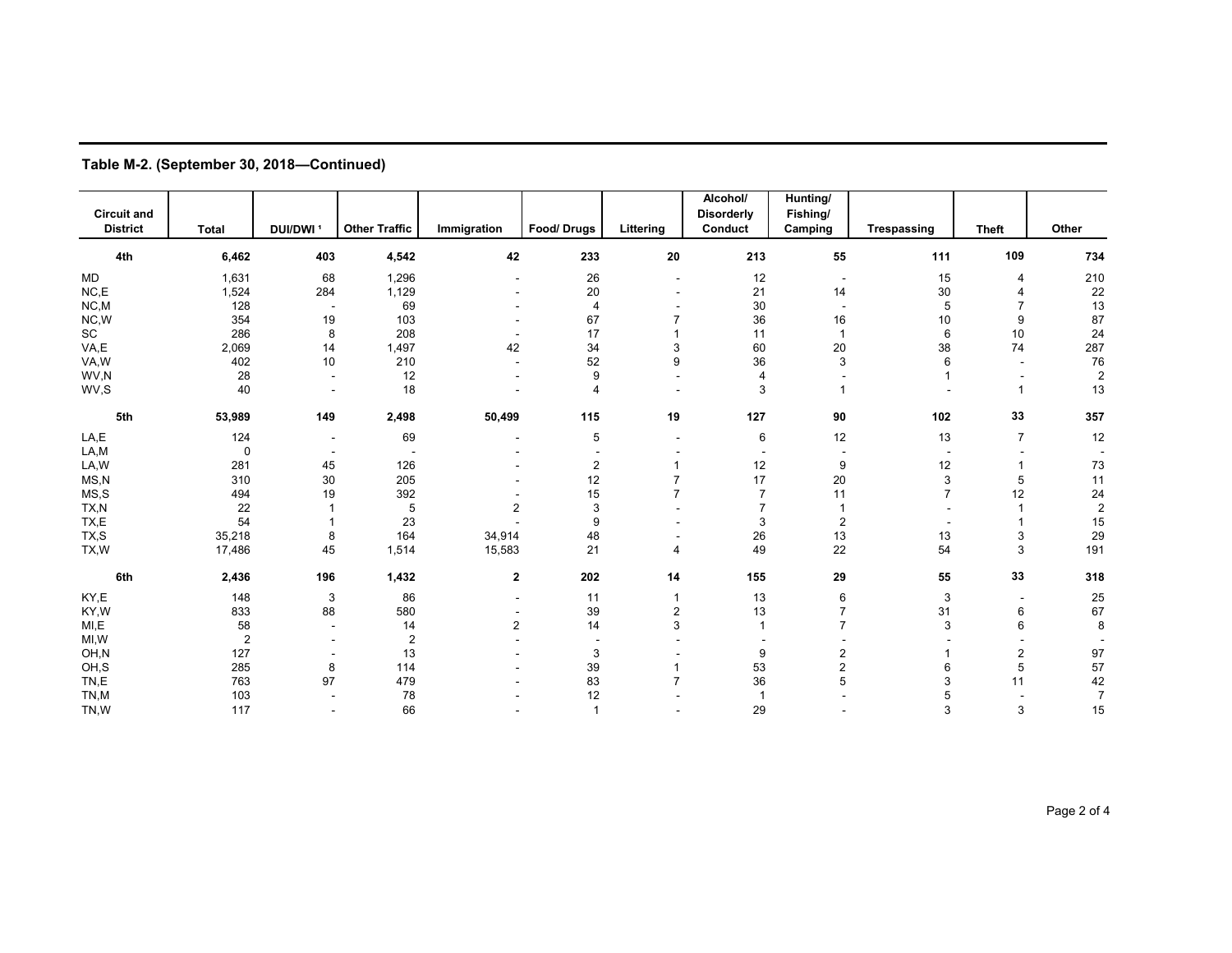| <b>Circuit and</b><br><b>District</b> | <b>Total</b>   | DUI/DWI <sup>1</sup>     | <b>Other Traffic</b> | Immigration             | Food/Drugs     | Littering | Alcohol/<br><b>Disorderly</b><br>Conduct | Hunting/<br>Fishing/<br>Camping | Trespassing              | <b>Theft</b>             | Other          |
|---------------------------------------|----------------|--------------------------|----------------------|-------------------------|----------------|-----------|------------------------------------------|---------------------------------|--------------------------|--------------------------|----------------|
| 4th                                   | 6,462          | 403                      | 4,542                | 42                      | 233            | 20        | 213                                      | 55                              | 111                      | 109                      | 734            |
| <b>MD</b>                             | 1,631          | 68                       | 1,296                |                         | 26             |           | 12                                       | $\sim$                          | 15                       | $\overline{4}$           | 210            |
| NC, E                                 | 1,524          | 284                      | 1,129                |                         | 20             |           | 21                                       | 14                              | 30                       |                          | 22             |
| NC, M                                 | 128            | $\overline{\phantom{a}}$ | 69                   |                         | $\overline{4}$ |           | 30                                       |                                 | 5                        | 7                        | 13             |
| NC, W                                 | 354            | 19                       | 103                  |                         | 67             |           | 36                                       | 16                              | 10                       | 9                        | 87             |
| $\operatorname{\textsf{SC}}$          | 286            | 8                        | 208                  |                         | 17             |           | 11                                       | $\mathbf{1}$                    | 6                        | 10                       | 24             |
| VA,E                                  | 2,069          | 14                       | 1,497                | 42                      | 34             | 3         | 60                                       | 20                              | 38                       | 74                       | 287            |
| VA,W                                  | 402            | 10                       | 210                  | ٠                       | 52             | 9         | 36                                       | 3                               | 6                        | $\overline{\phantom{a}}$ | 76             |
| WV,N                                  | 28             | $\overline{\phantom{a}}$ | 12                   |                         | 9              |           | 4                                        |                                 |                          |                          | $\overline{c}$ |
| WV,S                                  | 40             | $\overline{\phantom{a}}$ | 18                   |                         | 4              |           | 3                                        |                                 |                          | $\mathbf{1}$             | 13             |
| 5th                                   | 53,989         | 149                      | 2,498                | 50,499                  | 115            | 19        | 127                                      | 90                              | 102                      | 33                       | 357            |
| LA,E                                  | 124            | $\overline{\phantom{a}}$ | 69                   |                         | 5              |           | 6                                        | 12                              | 13                       | $\overline{7}$           | 12             |
| LA,M                                  | 0              | $\overline{\phantom{a}}$ |                      |                         |                |           |                                          |                                 | $\overline{\phantom{a}}$ |                          |                |
| LA,W                                  | 281            | 45                       | 126                  |                         | 2              |           | 12                                       | 9                               | 12                       |                          | 73             |
| MS, N                                 | 310            | 30                       | 205                  |                         | 12             |           | 17                                       | 20                              | 3                        | 5                        | 11             |
| MS, S                                 | 494            | 19                       | 392                  |                         | 15             |           | $\overline{7}$                           | 11                              | $\overline{7}$           | 12                       | 24             |
| TX,N                                  | 22             |                          | 5                    | $\overline{\mathbf{c}}$ | 3              |           | $\overline{7}$                           |                                 |                          |                          | $\sqrt{2}$     |
| TX,E                                  | 54             |                          | 23                   |                         | 9              |           | 3                                        | $\overline{c}$                  | $\overline{a}$           |                          | 15             |
| TX,S                                  | 35,218         | 8                        | 164                  | 34,914                  | 48             |           | 26                                       | 13                              | 13                       | 3                        | 29             |
| TX,W                                  | 17,486         | 45                       | 1,514                | 15,583                  | 21             | 4         | 49                                       | 22                              | 54                       | 3                        | 191            |
| 6th                                   | 2,436          | 196                      | 1,432                | $\mathbf{2}$            | 202            | 14        | 155                                      | 29                              | 55                       | 33                       | 318            |
| KY,E                                  | 148            | 3                        | 86                   | $\overline{a}$          | 11             |           | 13                                       | 6                               | 3                        | $\overline{\phantom{a}}$ | 25             |
| KY,W                                  | 833            | 88                       | 580                  |                         | 39             | 2         | 13                                       | 7                               | 31                       | 6                        | 67             |
| MI,E                                  | 58             |                          | 14                   | $\overline{2}$          | 14             | 3         | $\mathbf{1}$                             | 7                               | 3                        | 6                        | 8              |
| MI, W                                 | $\overline{2}$ |                          | $\overline{2}$       |                         |                |           |                                          |                                 |                          |                          |                |
| OH,N                                  | 127            |                          | 13                   |                         | 3              |           | 9                                        | 2                               |                          | $\overline{2}$           | 97             |
| OH,S                                  | 285            | 8                        | 114                  |                         | 39             |           | 53                                       | 2                               | 6                        | 5                        | 57             |
| TN,E                                  | 763            | 97                       | 479                  |                         | 83             |           | 36                                       | 5                               | 3                        | 11                       | 42             |
| TN,M                                  | 103            |                          | 78                   |                         | 12             |           | $\mathbf{1}$                             |                                 | 5                        |                          | $\overline{7}$ |
| TN,W                                  | 117            |                          | 66                   |                         | 1              |           | 29                                       |                                 | 3                        | 3                        | 15             |

**Table M-2. (September 30, 2018—Continued)**

Page 2 of 4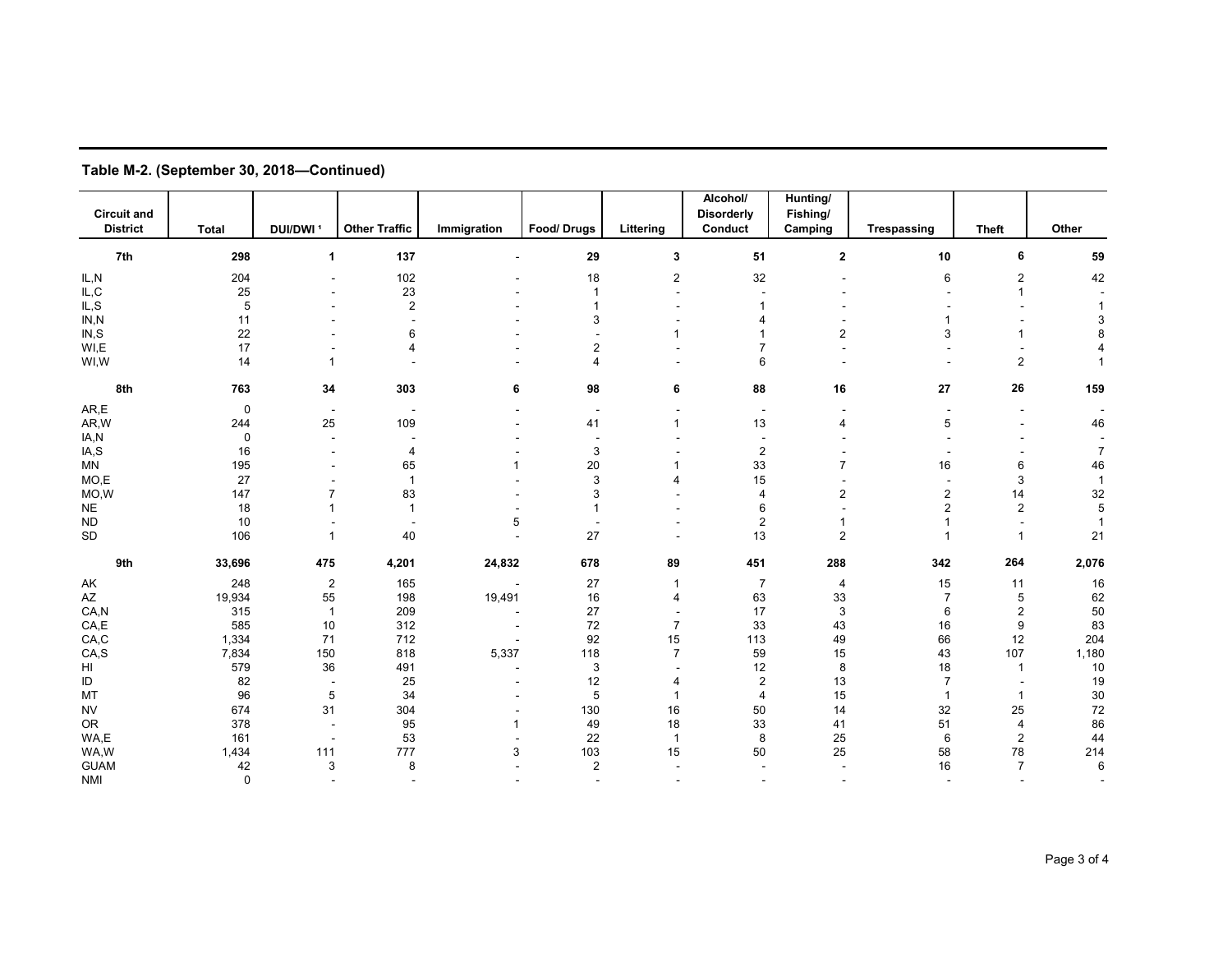| <b>Circuit and</b>        |              |                          |                      |             |                          |                | Alcohol/<br><b>Disorderly</b> | Hunting/<br>Fishing/    |                          |                |                |
|---------------------------|--------------|--------------------------|----------------------|-------------|--------------------------|----------------|-------------------------------|-------------------------|--------------------------|----------------|----------------|
| <b>District</b>           | <b>Total</b> | DUI/DWI <sup>1</sup>     | <b>Other Traffic</b> | Immigration | Food/Drugs               | Littering      | Conduct                       | Camping                 | <b>Trespassing</b>       | <b>Theft</b>   | Other          |
|                           |              |                          |                      |             |                          |                |                               |                         |                          |                |                |
| 7th                       | 298          | 1                        | 137                  |             | 29                       | 3              | 51                            | $\overline{\mathbf{2}}$ | 10                       | 6              | 59             |
| IL,N                      | 204          |                          | 102                  |             | 18                       | $\overline{2}$ | 32                            |                         | 6                        | 2              | 42             |
| $\mathsf{IL}, \mathsf{C}$ | 25           |                          | 23                   |             | $\mathbf{1}$             | $\sim$         |                               |                         |                          | -1             |                |
| IL, S                     | $\sqrt{5}$   |                          | $\sqrt{2}$           |             | $\mathbf{1}$             |                |                               |                         |                          |                |                |
| IN, N                     | 11           |                          |                      |             | 3                        |                | 4                             |                         |                          |                | ß              |
| IN, S                     | 22           |                          | 6                    |             |                          |                |                               | 2                       | 3                        |                |                |
| WI,E                      | 17           |                          | $\Delta$             |             | $\overline{2}$           |                | $\overline{7}$                |                         |                          |                |                |
| WI,W                      | 14           |                          |                      |             | $\overline{4}$           |                | 6                             |                         |                          | $\overline{c}$ |                |
| 8th                       | 763          | 34                       | 303                  | 6           | 98                       | 6              | 88                            | 16                      | 27                       | 26             | 159            |
| AR,E                      | 0            | $\overline{\phantom{a}}$ |                      |             | $\overline{\phantom{a}}$ |                | $\overline{\phantom{a}}$      |                         |                          |                |                |
| AR, W                     | 244          | 25                       | 109                  |             | 41                       | $\mathbf{1}$   | 13                            | 4                       | 5                        |                | 46             |
| IA,N                      | $\mathbf 0$  |                          |                      |             | $\overline{a}$           |                |                               |                         |                          |                |                |
| IA,S                      | 16           |                          | 4                    |             | 3                        |                | $\overline{2}$                |                         |                          |                | 7              |
| <b>MN</b>                 | 195          |                          | 65                   |             | 20                       |                | 33                            | 7                       | 16                       | 6              | 46             |
| MO,E                      | 27           |                          | $\overline{1}$       |             | 3                        | 4              | 15                            |                         |                          | 3              | $\overline{1}$ |
| MO,W                      | 147          | $\overline{7}$           | 83                   |             | 3                        |                | $\overline{4}$                | 2                       | 2                        | 14             | 32             |
| <b>NE</b>                 | 18           |                          | $\overline{1}$       |             | $\mathbf{1}$             |                | 6                             |                         | $\overline{2}$           | $\overline{2}$ | 5              |
| <b>ND</b>                 | 10           |                          |                      | 5           |                          |                | $\overline{\mathbf{c}}$       |                         |                          |                |                |
| <b>SD</b>                 | 106          | 1                        | 40                   |             | 27                       |                | 13                            | $\overline{2}$          |                          | -1             | 21             |
| 9th                       | 33,696       | 475                      | 4,201                | 24,832      | 678                      | 89             | 451                           | 288                     | 342                      | 264            | 2,076          |
| AK                        | 248          | $\overline{2}$           | 165                  |             | 27                       | -1             | $\overline{7}$                | 4                       | 15                       | 11             | 16             |
| AZ                        | 19,934       | 55                       | 198                  | 19,491      | 16                       | $\overline{4}$ | 63                            | 33                      | $\overline{7}$           | 5              | 62             |
| CA, N                     | 315          | $\mathbf{1}$             | 209                  |             | 27                       |                | 17                            | 3                       | 6                        | $\overline{2}$ | 50             |
| CA, E                     | 585          | 10                       | 312                  |             | 72                       | $\overline{7}$ | 33                            | 43                      | 16                       | 9              | 83             |
| CA, C                     | 1,334        | 71                       | 712                  |             | 92                       | 15             | 113                           | 49                      | 66                       | 12             | 204            |
| CA, S                     | 7,834        | 150                      | 818                  | 5,337       | 118                      | $\overline{7}$ | 59                            | 15                      | 43                       | 107            | 1,180          |
| HI                        | 579          | 36                       | 491                  |             | 3                        |                | 12                            | 8                       | 18                       | $\mathbf{1}$   | 10             |
| ID                        | 82           | $\sim$                   | 25                   |             | 12                       |                | $\boldsymbol{2}$              | 13                      | $\overline{7}$           |                | 19             |
| MT                        | 96           | 5                        | 34                   |             | 5                        | -1             | $\overline{4}$                | 15                      | $\mathbf{1}$             | $\mathbf{1}$   | 30             |
| <b>NV</b>                 | 674          | 31                       | 304                  |             | 130                      | 16             | 50                            | 14                      | 32                       | 25             | 72             |
| OR.                       | 378          |                          | 95                   | 1           | 49                       | 18             | 33                            | 41                      | 51                       | 4              | 86             |
| WA,E                      | 161          |                          | 53                   |             | 22                       | $\mathbf{1}$   | 8                             | 25                      | 6                        | $\overline{c}$ | 44             |
| WA,W                      | 1,434        | 111                      | 777                  | 3           | 103                      | 15             | 50                            | 25                      | 58                       | 78             | 214            |
| <b>GUAM</b>               | 42           | 3                        | 8                    |             | $\overline{2}$           |                |                               |                         | 16                       | $\overline{7}$ | 6              |
| NMI                       | $\mathbf{0}$ |                          |                      |             |                          |                |                               |                         | $\overline{\phantom{a}}$ |                |                |

**Table M-2. (September 30, 2018—Continued)**